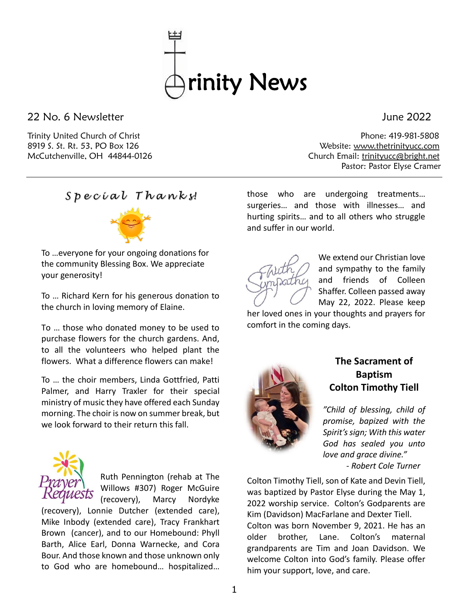

22 No. 6 Newsletter June 2022

Trinity United Church of Christ Phone: 419-981-5808 8919 S. St. Rt. 53, PO Box 126 Website: [www.thetrinityucc.com](http://www.thetrinityucc.com/) McCutchenville, OH 44844-0126 Church Email: [trinityucc@bright.net](mailto:trinityucc@bright.net) Pastor: Pastor Elyse Cramer

*S p e c i a l T h a n k s!*



To …everyone for your ongoing donations for the community Blessing Box. We appreciate your generosity!

To … Richard Kern for his generous donation to the church in loving memory of Elaine.

To … those who donated money to be used to purchase flowers for the church gardens. And, to all the volunteers who helped plant the flowers. What a difference flowers can make!

To … the choir members, Linda Gottfried, Patti Palmer, and Harry Traxler for their special ministry of music they have offered each Sunday morning. The choir is now on summer break, but we look forward to their return this fall.



Ruth Pennington (rehab at The Willows #307) Roger McGuire

(recovery), Marcy Nordyke (recovery), Lonnie Dutcher (extended care), Mike Inbody (extended care), Tracy Frankhart Brown (cancer), and to our Homebound: Phyll Barth, Alice Earl, Donna Warnecke, and Cora Bour. And those known and those unknown only to God who are homebound… hospitalized… those who are undergoing treatments… surgeries… and those with illnesses… and hurting spirits… and to all others who struggle and suffer in our world.



We extend our Christian love and sympathy to the family and friends of Colleen Shaffer. Colleen passed away May 22, 2022. Please keep

her loved ones in your thoughts and prayers for comfort in the coming days.



# **The Sacrament of Baptism Colton Timothy Tiell**

*"Child of blessing, child of promise, bapized with the Spirit's sign; With this water God has sealed you unto love and grace divine." - Robert Cole Turner*

Colton Timothy Tiell, son of Kate and Devin Tiell, was baptized by Pastor Elyse during the May 1, 2022 worship service. Colton's Godparents are Kim (Davidson) MacFarlane and Dexter Tiell. Colton was born November 9, 2021. He has an older brother, Lane. Colton's maternal grandparents are Tim and Joan Davidson. We welcome Colton into God's family. Please offer him your support, love, and care.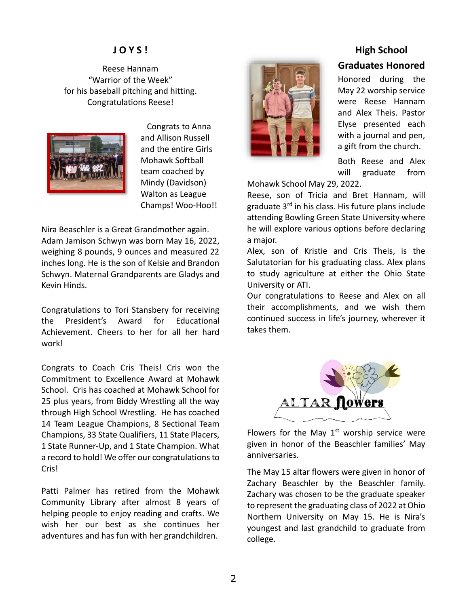# **J O Y S !**

Reese Hannam "Warrior of the Week" for his baseball pitching and hitting. Congratulations Reese!



 Congrats to Anna and Allison Russell and the entire Girls Mohawk Softball team coached by Mindy (Davidson) Walton as League Champs! Woo-Hoo!!

Nira Beaschler is a Great Grandmother again. Adam Jamison Schwyn was born May 16, 2022, weighing 8 pounds, 9 ounces and measured 22 inches long. He is the son of Kelsie and Brandon Schwyn. Maternal Grandparents are Gladys and Kevin Hinds.

Congratulations to Tori Stansbery for receiving the President's Award for Educational Achievement. Cheers to her for all her hard work!

Congrats to Coach Cris Theis! Cris won the Commitment to Excellence Award at Mohawk School. Cris has coached at Mohawk School for 25 plus years, from Biddy Wrestling all the way through High School Wrestling. He has coached 14 Team League Champions, 8 Sectional Team Champions, 33 State Qualifiers, 11 State Placers, 1 State Runner-Up, and 1 State Champion. What a record to hold! We offer our congratulations to Cris!

Patti Palmer has retired from the Mohawk Community Library after almost 8 years of helping people to enjoy reading and crafts. We wish her our best as she continues her adventures and has fun with her grandchildren.



# **High School**

### **Graduates Honored**

Honored during the May 22 worship service were Reese Hannam and Alex Theis. Pastor Elyse presented each with a journal and pen, a gift from the church.

Both Reese and Alex will graduate from

Mohawk School May 29, 2022.

Reese, son of Tricia and Bret Hannam, will graduate 3<sup>rd</sup> in his class. His future plans include attending Bowling Green State University where he will explore various options before declaring a major.

Alex, son of Kristie and Cris Theis, is the Salutatorian for his graduating class. Alex plans to study agriculture at either the Ohio State University or ATI.

Our congratulations to Reese and Alex on all their accomplishments, and we wish them continued success in life's journey, wherever it takes them.



Flowers for the May  $1<sup>st</sup>$  worship service were given in honor of the Beaschler families' May anniversaries.

The May 15 altar flowers were given in honor of Zachary Beaschler by the Beaschler family. Zachary was chosen to be the graduate speaker to represent the graduating class of 2022 at Ohio Northern University on May 15. He is Nira's youngest and last grandchild to graduate from college.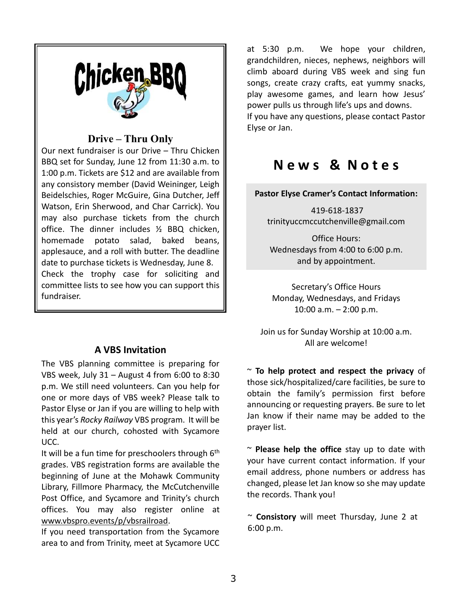

# **Drive – Thru Only**

Our next fundraiser is our Drive – Thru Chicken BBQ set for Sunday, June 12 from 11:30 a.m. to 1:00 p.m. Tickets are \$12 and are available from any consistory member (David Weininger, Leigh Beidelschies, Roger McGuire, Gina Dutcher, Jeff Watson, Erin Sherwood, and Char Carrick). You may also purchase tickets from the church office. The dinner includes ½ BBQ chicken, homemade potato salad, baked beans, applesauce, and a roll with butter. The deadline date to purchase tickets is Wednesday, June 8. Check the trophy case for soliciting and committee lists to see how you can support this fundraiser.

# **A VBS Invitation**

The VBS planning committee is preparing for VBS week, July 31 – August 4 from 6:00 to 8:30 p.m. We still need volunteers. Can you help for one or more days of VBS week? Please talk to Pastor Elyse or Jan if you are willing to help with this year's *Rocky Railway* VBS program. It will be held at our church, cohosted with Sycamore UCC.

It will be a fun time for preschoolers through 6<sup>th</sup> grades. VBS registration forms are available the beginning of June at the Mohawk Community Library, Fillmore Pharmacy, the McCutchenville Post Office, and Sycamore and Trinity's church offices. You may also register online at [www.vbspro.events/p/vbsrailroad.](http://www.vbspro.events/p/vbsrailroad)

If you need transportation from the Sycamore area to and from Trinity, meet at Sycamore UCC

at 5:30 p.m. We hope your children, grandchildren, nieces, nephews, neighbors will climb aboard during VBS week and sing fun songs, create crazy crafts, eat yummy snacks, play awesome games, and learn how Jesus' power pulls us through life's ups and downs. If you have any questions, please contact Pastor Elyse or Jan.

# **N e w s & N o t e s**

## **Pastor Elyse Cramer's Contact Information:**

419-618-1837 trinityuccmccutchenville@gmail.com

Office Hours: Wednesdays from 4:00 to 6:00 p.m. and by appointment.

Secretary's Office Hours Monday, Wednesdays, and Fridays 10:00 a.m. – 2:00 p.m.

Join us for Sunday Worship at 10:00 a.m. All are welcome!

~ **To help protect and respect the privacy** of those sick/hospitalized/care facilities, be sure to obtain the family's permission first before announcing or requesting prayers. Be sure to let Jan know if their name may be added to the prayer list.

~ **Please help the office** stay up to date with your have current contact information. If your email address, phone numbers or address has changed, please let Jan know so she may update the records. Thank you!

~ **Consistory** will meet Thursday, June 2 at 6:00 p.m.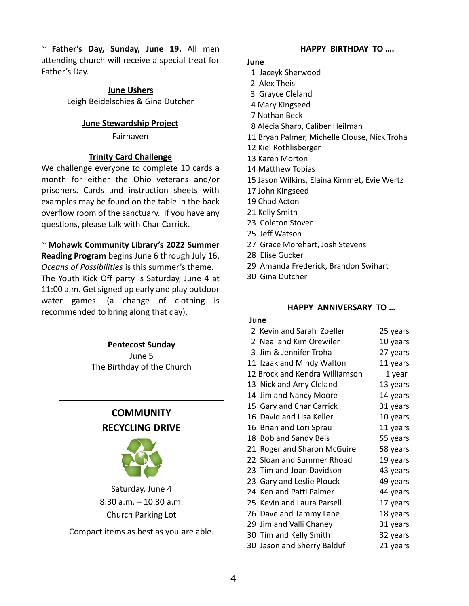~ **Father's Day, Sunday, June 19.** All men attending church will receive a special treat for Father's Day.

### **June Ushers**

Leigh Beidelschies & Gina Dutcher

### **June Stewardship Project**

Fairhaven

### **Trinity Card Challenge**

We challenge everyone to complete 10 cards a month for either the Ohio veterans and/or prisoners. Cards and instruction sheets with examples may be found on the table in the back overflow room of the sanctuary. If you have any questions, please talk with Char Carrick.

## ~ **Mohawk Community Library's 2022 Summer Reading Program** begins June 6 through July 16. *Oceans of Possibilities* is this summer's theme. The Youth Kick Off party is Saturday, June 4 at 11:00 a.m. Get signed up early and play outdoor water games. (a change of clothing is recommended to bring along that day).

### **Pentecost Sunday**

June 5 The Birthday of the Church

# **COMMUNITY RECYCLING DRIVE** Saturday, June 4 8:30 a.m. – 10:30 a.m. Church Parking Lot Compact items as best as you are able.

### **HAPPY BIRTHDAY TO ….**

### **June**

- 1 Jaceyk Sherwood
- 2 Alex Theis
- 3 Grayce Cleland
- 4 Mary Kingseed
- 7 Nathan Beck
- 8 Alecia Sharp, Caliber Heilman
- 11 Bryan Palmer, Michelle Clouse, Nick Troha
- 12 Kiel Rothlisberger
- 13 Karen Morton
- 14 Matthew Tobias
- 15 Jason Wilkins, Elaina Kimmet, Evie Wertz
- 17 John Kingseed
- 19 Chad Acton
- 21 Kelly Smith
- 23 Coleton Stover
- 25 Jeff Watson
- 27 Grace Morehart, Josh Stevens
- 28 Elise Gucker
- 29 Amanda Frederick, Brandon Swihart
- 30 Gina Dutcher

### **HAPPY ANNIVERSARY TO …**

#### **June**

| 2 Kevin and Sarah Zoeller      | 25 years |  |  |
|--------------------------------|----------|--|--|
| 2 Neal and Kim Orewiler        | 10 years |  |  |
| 3 Jim & Jennifer Troha         | 27 years |  |  |
| 11 Izaak and Mindy Walton      | 11 years |  |  |
| 12 Brock and Kendra Williamson | 1 year   |  |  |
| 13 Nick and Amy Cleland        | 13 years |  |  |
| 14 Jim and Nancy Moore         | 14 years |  |  |
| 15 Gary and Char Carrick       | 31 years |  |  |
| 16 David and Lisa Keller       | 10 years |  |  |
| 16 Brian and Lori Sprau        | 11 years |  |  |
| 18 Bob and Sandy Beis          | 55 years |  |  |
| 21 Roger and Sharon McGuire    | 58 years |  |  |
| 22 Sloan and Summer Rhoad      | 19 years |  |  |
| 23 Tim and Joan Davidson       | 43 years |  |  |
| 23 Gary and Leslie Plouck      | 49 years |  |  |
| 24 Ken and Patti Palmer        | 44 years |  |  |
| 25 Kevin and Laura Parsell     | 17 years |  |  |
| 26 Dave and Tammy Lane         | 18 years |  |  |
| 29 Jim and Valli Chaney        | 31 years |  |  |
| 30 Tim and Kelly Smith         | 32 years |  |  |
| 30 Jason and Sherry Balduf     | 21 years |  |  |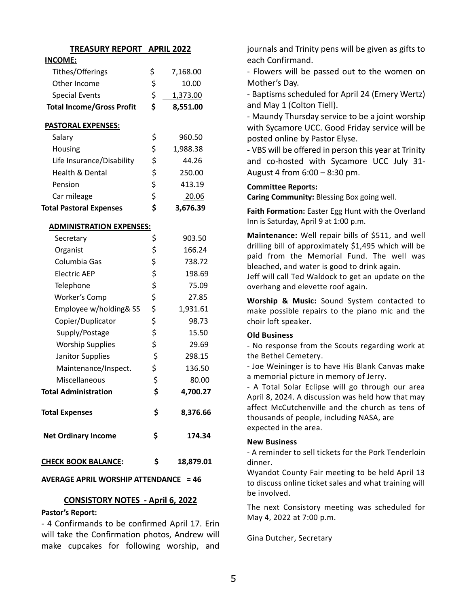| <b>TREASURY REPORT</b>           |    | <b>APRIL 2022</b> |  |  |  |  |  |  |
|----------------------------------|----|-------------------|--|--|--|--|--|--|
| <b>INCOME:</b>                   |    |                   |  |  |  |  |  |  |
| Tithes/Offerings                 | \$ | 7,168.00          |  |  |  |  |  |  |
| Other Income                     | \$ | 10.00             |  |  |  |  |  |  |
| <b>Special Events</b>            | \$ | 1,373.00          |  |  |  |  |  |  |
| <b>Total Income/Gross Profit</b> | \$ | 8,551.00          |  |  |  |  |  |  |
| <b>PASTORAL EXPENSES:</b>        |    |                   |  |  |  |  |  |  |
| Salary                           | \$ | 960.50            |  |  |  |  |  |  |
| Housing                          | \$ | 1,988.38          |  |  |  |  |  |  |
| Life Insurance/Disability        | \$ | 44.26             |  |  |  |  |  |  |
| <b>Health &amp; Dental</b>       | \$ | 250.00            |  |  |  |  |  |  |
| Pension                          | \$ | 413.19            |  |  |  |  |  |  |
| Car mileage                      | \$ | 20.06             |  |  |  |  |  |  |
| <b>Total Pastoral Expenses</b>   | \$ | 3,676.39          |  |  |  |  |  |  |
| <b>ADMINISTRATION EXPENSES:</b>  |    |                   |  |  |  |  |  |  |
| Secretary                        | \$ | 903.50            |  |  |  |  |  |  |
| Organist                         | \$ | 166.24            |  |  |  |  |  |  |
| Columbia Gas                     | \$ | 738.72            |  |  |  |  |  |  |
| <b>Electric AEP</b>              | \$ | 198.69            |  |  |  |  |  |  |
| Telephone                        | \$ | 75.09             |  |  |  |  |  |  |
| Worker's Comp                    | \$ | 27.85             |  |  |  |  |  |  |
| Employee w/holding& SS           | \$ | 1,931.61          |  |  |  |  |  |  |
| Copier/Duplicator                | \$ | 98.73             |  |  |  |  |  |  |
| Supply/Postage                   | \$ | 15.50             |  |  |  |  |  |  |
| <b>Worship Supplies</b>          | \$ | 29.69             |  |  |  |  |  |  |
| Janitor Supplies                 | \$ | 298.15            |  |  |  |  |  |  |
| Maintenance/Inspect.             | \$ | 136.50            |  |  |  |  |  |  |
| Miscellaneous                    | \$ | 80.00             |  |  |  |  |  |  |
| <b>Total Administration</b>      | \$ | 4,700.27          |  |  |  |  |  |  |
| <b>Total Expenses</b>            | \$ | 8,376.66          |  |  |  |  |  |  |
| <b>Net Ordinary Income</b>       | \$ | 174.34            |  |  |  |  |  |  |
| <b>CHECK BOOK BALANCE:</b>       | \$ | 18,879.01         |  |  |  |  |  |  |

### **AVERAGE APRIL WORSHIP ATTENDANCE = 46**

### **CONSISTORY NOTES - April 6, 2022**

### **Pastor's Report:**

- 4 Confirmands to be confirmed April 17. Erin will take the Confirmation photos, Andrew will make cupcakes for following worship, and journals and Trinity pens will be given as gifts to each Confirmand.

- Flowers will be passed out to the women on Mother's Day.

- Baptisms scheduled for April 24 (Emery Wertz) and May 1 (Colton Tiell).

- Maundy Thursday service to be a joint worship with Sycamore UCC. Good Friday service will be posted online by Pastor Elyse.

- VBS will be offered in person this year at Trinity and co-hosted with Sycamore UCC July 31- August 4 from 6:00 – 8:30 pm.

### **Committee Reports:**

**Caring Community:** Blessing Box going well.

**Faith Formation:** Easter Egg Hunt with the Overland Inn is Saturday, April 9 at 1:00 p.m.

**Maintenance:** Well repair bills of \$511, and well drilling bill of approximately \$1,495 which will be paid from the Memorial Fund. The well was bleached, and water is good to drink again.

Jeff will call Ted Waldock to get an update on the overhang and elevette roof again.

**Worship & Music:** Sound System contacted to make possible repairs to the piano mic and the choir loft speaker.

### **Old Business**

- No response from the Scouts regarding work at the Bethel Cemetery.

- Joe Weininger is to have His Blank Canvas make a memorial picture in memory of Jerry.

- A Total Solar Eclipse will go through our area April 8, 2024. A discussion was held how that may affect McCutchenville and the church as tens of thousands of people, including NASA, are expected in the area.

### **New Business**

- A reminder to sell tickets for the Pork Tenderloin dinner.

Wyandot County Fair meeting to be held April 13 to discuss online ticket sales and what training will be involved.

The next Consistory meeting was scheduled for May 4, 2022 at 7:00 p.m.

Gina Dutcher, Secretary